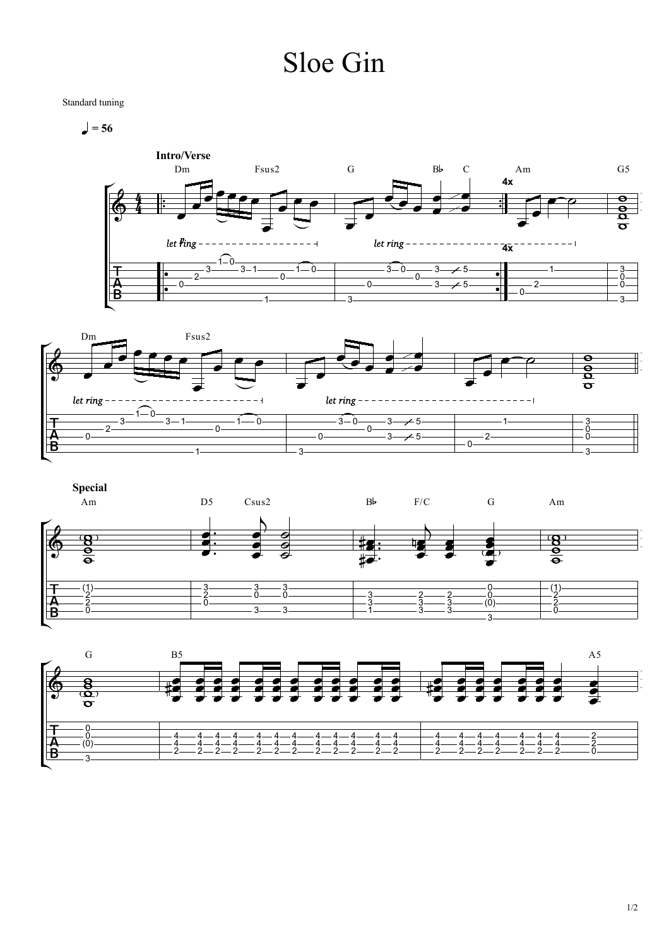## Sloe Gin

Standard tuning

 $= 56$